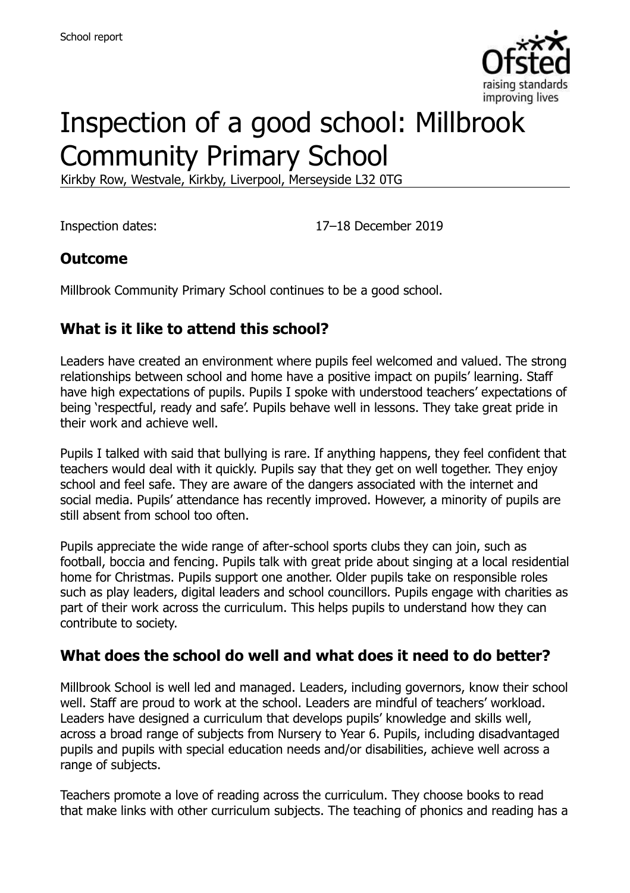

# Inspection of a good school: Millbrook Community Primary School

Kirkby Row, Westvale, Kirkby, Liverpool, Merseyside L32 0TG

Inspection dates: 17–18 December 2019

#### **Outcome**

Millbrook Community Primary School continues to be a good school.

## **What is it like to attend this school?**

Leaders have created an environment where pupils feel welcomed and valued. The strong relationships between school and home have a positive impact on pupils' learning. Staff have high expectations of pupils. Pupils I spoke with understood teachers' expectations of being 'respectful, ready and safe'. Pupils behave well in lessons. They take great pride in their work and achieve well.

Pupils I talked with said that bullying is rare. If anything happens, they feel confident that teachers would deal with it quickly. Pupils say that they get on well together. They enjoy school and feel safe. They are aware of the dangers associated with the internet and social media. Pupils' attendance has recently improved. However, a minority of pupils are still absent from school too often.

Pupils appreciate the wide range of after-school sports clubs they can join, such as football, boccia and fencing. Pupils talk with great pride about singing at a local residential home for Christmas. Pupils support one another. Older pupils take on responsible roles such as play leaders, digital leaders and school councillors. Pupils engage with charities as part of their work across the curriculum. This helps pupils to understand how they can contribute to society.

#### **What does the school do well and what does it need to do better?**

Millbrook School is well led and managed. Leaders, including governors, know their school well. Staff are proud to work at the school. Leaders are mindful of teachers' workload. Leaders have designed a curriculum that develops pupils' knowledge and skills well, across a broad range of subjects from Nursery to Year 6. Pupils, including disadvantaged pupils and pupils with special education needs and/or disabilities, achieve well across a range of subjects.

Teachers promote a love of reading across the curriculum. They choose books to read that make links with other curriculum subjects. The teaching of phonics and reading has a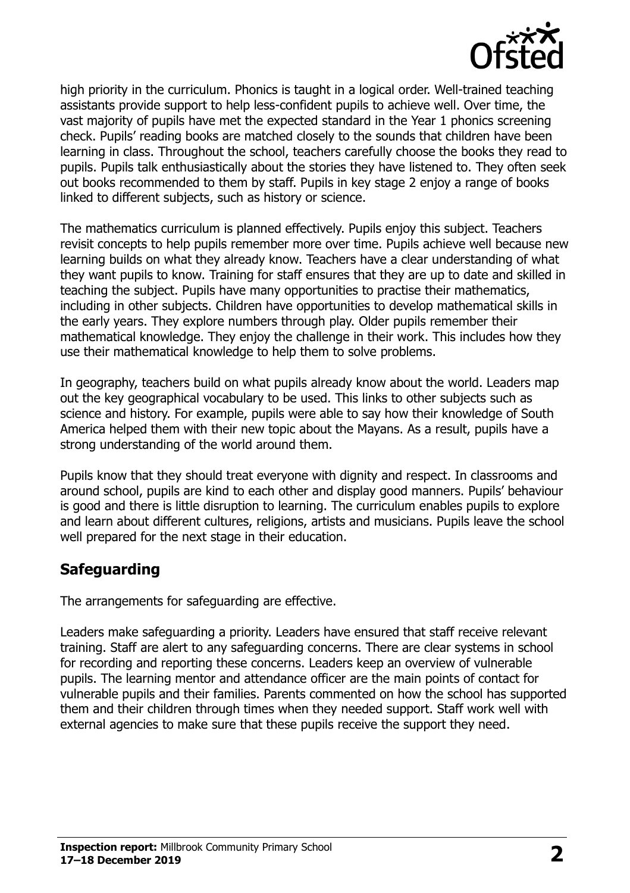

high priority in the curriculum. Phonics is taught in a logical order. Well-trained teaching assistants provide support to help less-confident pupils to achieve well. Over time, the vast majority of pupils have met the expected standard in the Year 1 phonics screening check. Pupils' reading books are matched closely to the sounds that children have been learning in class. Throughout the school, teachers carefully choose the books they read to pupils. Pupils talk enthusiastically about the stories they have listened to. They often seek out books recommended to them by staff. Pupils in key stage 2 enjoy a range of books linked to different subjects, such as history or science.

The mathematics curriculum is planned effectively. Pupils enjoy this subject. Teachers revisit concepts to help pupils remember more over time. Pupils achieve well because new learning builds on what they already know. Teachers have a clear understanding of what they want pupils to know. Training for staff ensures that they are up to date and skilled in teaching the subject. Pupils have many opportunities to practise their mathematics, including in other subjects. Children have opportunities to develop mathematical skills in the early years. They explore numbers through play. Older pupils remember their mathematical knowledge. They enjoy the challenge in their work. This includes how they use their mathematical knowledge to help them to solve problems.

In geography, teachers build on what pupils already know about the world. Leaders map out the key geographical vocabulary to be used. This links to other subjects such as science and history. For example, pupils were able to say how their knowledge of South America helped them with their new topic about the Mayans. As a result, pupils have a strong understanding of the world around them.

Pupils know that they should treat everyone with dignity and respect. In classrooms and around school, pupils are kind to each other and display good manners. Pupils' behaviour is good and there is little disruption to learning. The curriculum enables pupils to explore and learn about different cultures, religions, artists and musicians. Pupils leave the school well prepared for the next stage in their education.

## **Safeguarding**

The arrangements for safeguarding are effective.

Leaders make safeguarding a priority. Leaders have ensured that staff receive relevant training. Staff are alert to any safeguarding concerns. There are clear systems in school for recording and reporting these concerns. Leaders keep an overview of vulnerable pupils. The learning mentor and attendance officer are the main points of contact for vulnerable pupils and their families. Parents commented on how the school has supported them and their children through times when they needed support. Staff work well with external agencies to make sure that these pupils receive the support they need.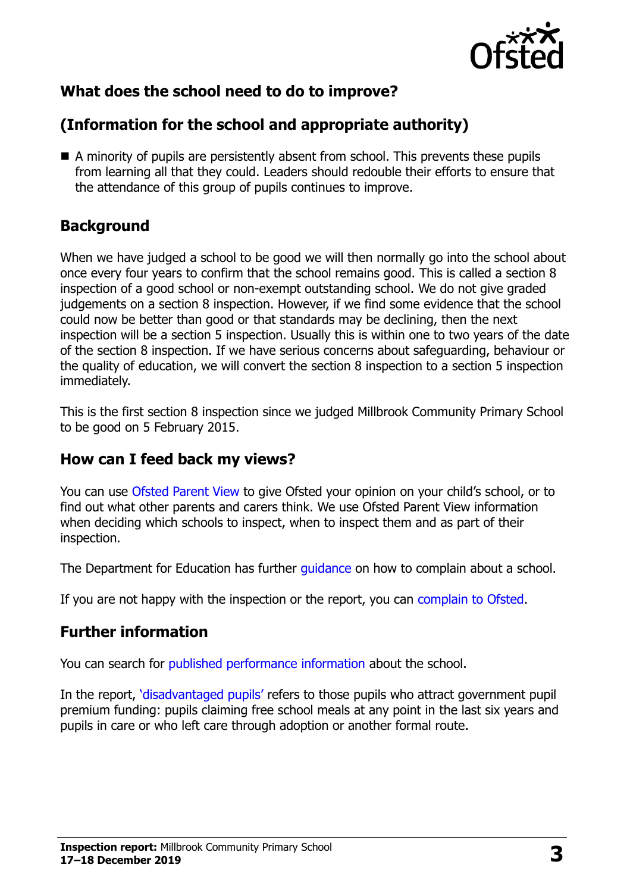

# **What does the school need to do to improve?**

# **(Information for the school and appropriate authority)**

 A minority of pupils are persistently absent from school. This prevents these pupils from learning all that they could. Leaders should redouble their efforts to ensure that the attendance of this group of pupils continues to improve.

## **Background**

When we have judged a school to be good we will then normally go into the school about once every four years to confirm that the school remains good. This is called a section 8 inspection of a good school or non-exempt outstanding school. We do not give graded judgements on a section 8 inspection. However, if we find some evidence that the school could now be better than good or that standards may be declining, then the next inspection will be a section 5 inspection. Usually this is within one to two years of the date of the section 8 inspection. If we have serious concerns about safeguarding, behaviour or the quality of education, we will convert the section 8 inspection to a section 5 inspection immediately.

This is the first section 8 inspection since we judged Millbrook Community Primary School to be good on 5 February 2015.

#### **How can I feed back my views?**

You can use [Ofsted Parent View](https://parentview.ofsted.gov.uk/) to give Ofsted your opinion on your child's school, or to find out what other parents and carers think. We use Ofsted Parent View information when deciding which schools to inspect, when to inspect them and as part of their inspection.

The Department for Education has further quidance on how to complain about a school.

If you are not happy with the inspection or the report, you can [complain to Ofsted.](https://www.gov.uk/complain-ofsted-report)

## **Further information**

You can search for [published performance information](http://www.compare-school-performance.service.gov.uk/) about the school.

In the report, '[disadvantaged pupils](http://www.gov.uk/guidance/pupil-premium-information-for-schools-and-alternative-provision-settings)' refers to those pupils who attract government pupil premium funding: pupils claiming free school meals at any point in the last six years and pupils in care or who left care through adoption or another formal route.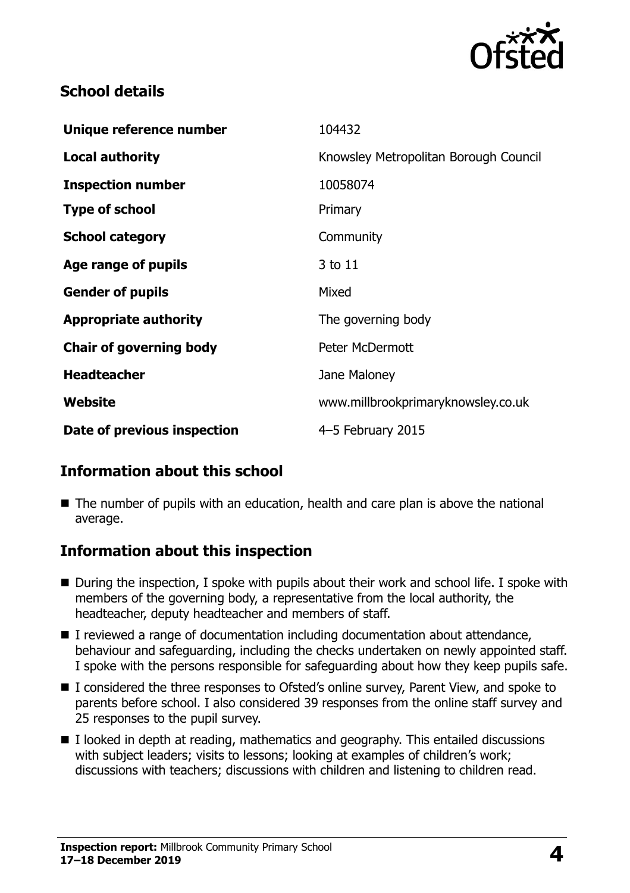

#### **School details**

| Knowsley Metropolitan Borough Council<br>10058074<br>Primary<br>Community<br>3 to 11<br>Mixed<br>The governing body<br><b>Peter McDermott</b><br>Jane Maloney<br>www.millbrookprimaryknowsley.co.uk | Unique reference number        | 104432 |
|-----------------------------------------------------------------------------------------------------------------------------------------------------------------------------------------------------|--------------------------------|--------|
|                                                                                                                                                                                                     | <b>Local authority</b>         |        |
|                                                                                                                                                                                                     | <b>Inspection number</b>       |        |
|                                                                                                                                                                                                     | <b>Type of school</b>          |        |
|                                                                                                                                                                                                     | <b>School category</b>         |        |
|                                                                                                                                                                                                     | Age range of pupils            |        |
|                                                                                                                                                                                                     | <b>Gender of pupils</b>        |        |
|                                                                                                                                                                                                     | <b>Appropriate authority</b>   |        |
|                                                                                                                                                                                                     | <b>Chair of governing body</b> |        |
|                                                                                                                                                                                                     | <b>Headteacher</b>             |        |
|                                                                                                                                                                                                     | Website                        |        |
| 4-5 February 2015                                                                                                                                                                                   | Date of previous inspection    |        |
|                                                                                                                                                                                                     |                                |        |

## **Information about this school**

■ The number of pupils with an education, health and care plan is above the national average.

#### **Information about this inspection**

- During the inspection, I spoke with pupils about their work and school life. I spoke with members of the governing body, a representative from the local authority, the headteacher, deputy headteacher and members of staff.
- I reviewed a range of documentation including documentation about attendance, behaviour and safeguarding, including the checks undertaken on newly appointed staff. I spoke with the persons responsible for safeguarding about how they keep pupils safe.
- I considered the three responses to Ofsted's online survey, Parent View, and spoke to parents before school. I also considered 39 responses from the online staff survey and 25 responses to the pupil survey.
- $\blacksquare$  I looked in depth at reading, mathematics and geography. This entailed discussions with subject leaders; visits to lessons; looking at examples of children's work; discussions with teachers; discussions with children and listening to children read.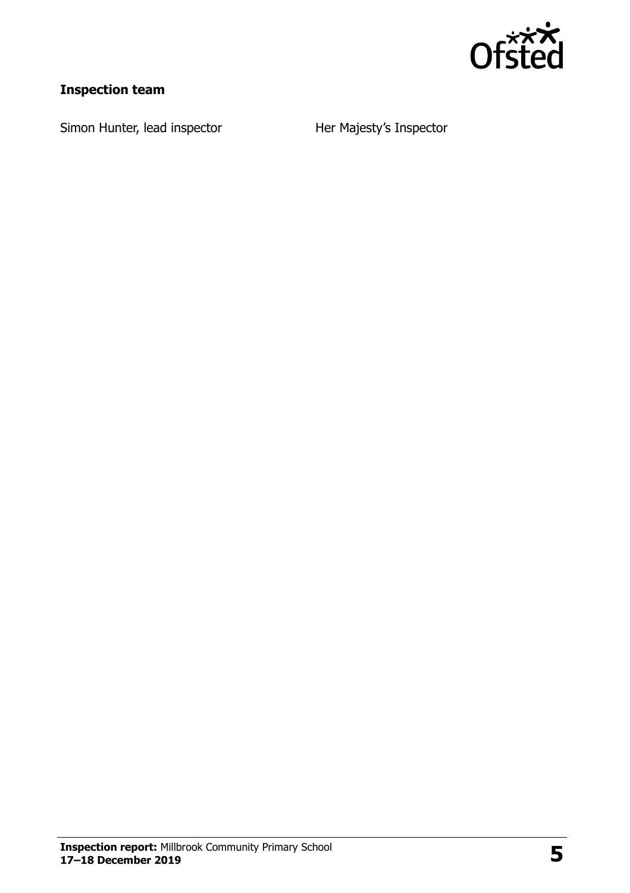

## **Inspection team**

Simon Hunter, lead inspector **Her Majesty's Inspector**